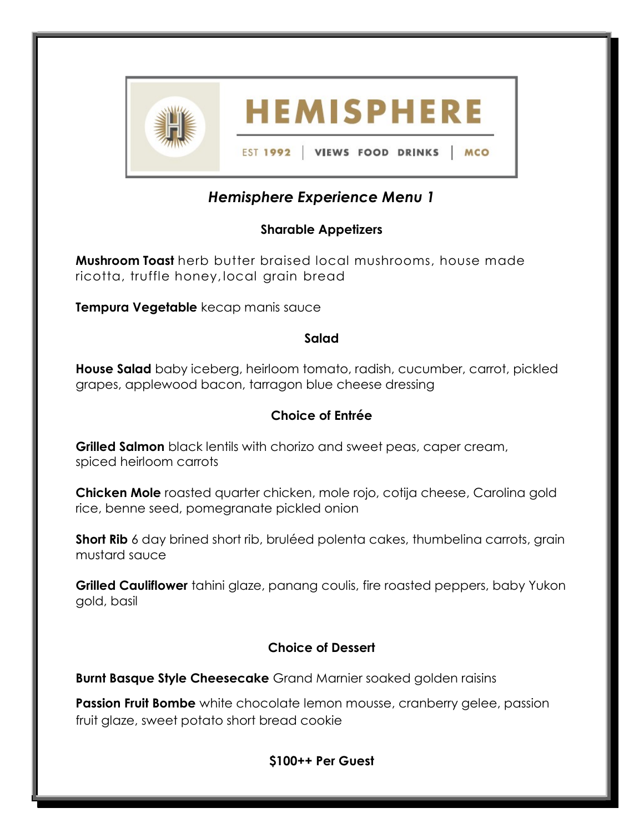

# Hemisphere Experience Menu 1

# Sharable Appetizers

**Mushroom Toast** herb butter braised local mushrooms, house made ricotta, truffle honey, local grain bread

Tempura Vegetable kecap manis sauce

## Salad

**House Salad** baby iceberg, heirloom tomato, radish, cucumber, carrot, pickled grapes, applewood bacon, tarragon blue cheese dressing

# Choice of Entrée

Grilled Salmon black lentils with chorizo and sweet peas, caper cream, spiced heirloom carrots

Chicken Mole roasted quarter chicken, mole rojo, cotija cheese, Carolina gold rice, benne seed, pomegranate pickled onion

Short Rib 6 day brined short rib, bruléed polenta cakes, thumbelina carrots, grain mustard sauce

**Grilled Cauliflower** tahini glaze, panang coulis, fire roasted peppers, baby Yukon gold, basil

## Choice of Dessert

Burnt Basque Style Cheesecake Grand Marnier soaked golden raisins

**Passion Fruit Bombe** white chocolate lemon mousse, cranberry gelee, passion fruit glaze, sweet potato short bread cookie

## \$100++ Per Guest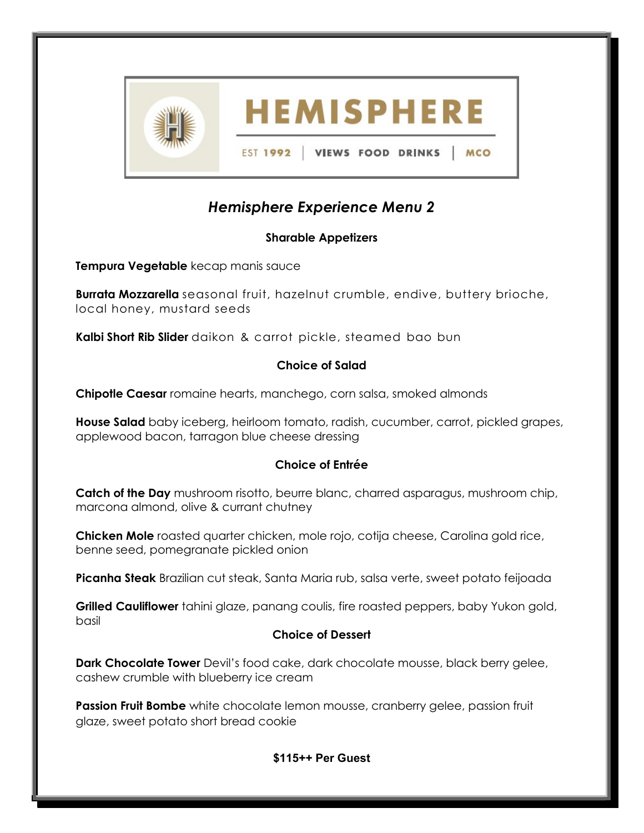

# Hemisphere Experience Menu 2

## Sharable Appetizers

Tempura Vegetable kecap manis sauce

Burrata Mozzarella seasonal fruit, hazelnut crumble, endive, buttery brioche, local honey, mustard seeds

Kalbi Short Rib Slider daikon & carrot pickle, steamed bao bun

#### Choice of Salad

Chipotle Caesar romaine hearts, manchego, corn salsa, smoked almonds

House Salad baby iceberg, heirloom tomato, radish, cucumber, carrot, pickled grapes, applewood bacon, tarragon blue cheese dressing

## Choice of Entrée

**Catch of the Day** mushroom risotto, beurre blanc, charred asparagus, mushroom chip, marcona almond, olive & currant chutney

Chicken Mole roasted quarter chicken, mole rojo, cotija cheese, Carolina gold rice, benne seed, pomegranate pickled onion

Picanha Steak Brazilian cut steak, Santa Maria rub, salsa verte, sweet potato feijoada

Grilled Cauliflower tahini glaze, panang coulis, fire roasted peppers, baby Yukon gold, basil

#### Choice of Dessert

**Dark Chocolate Tower** Devil's food cake, dark chocolate mousse, black berry gelee, cashew crumble with blueberry ice cream

Passion Fruit Bombe white chocolate lemon mousse, cranberry gelee, passion fruit glaze, sweet potato short bread cookie

#### \$115++ Per Guest